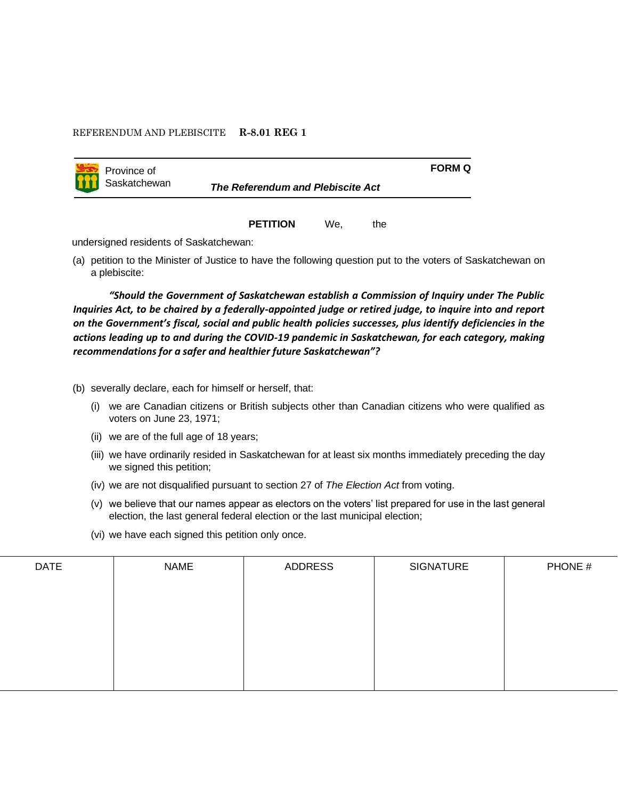## REFERENDUM AND PLEBISCITE **R-8.01 REG 1**



Saskatchewan *The Referendum and Plebiscite Act*

**PETITION** We, the

**FORM Q**

undersigned residents of Saskatchewan:

(a) petition to the Minister of Justice to have the following question put to the voters of Saskatchewan on a plebiscite:

*"Should the Government of Saskatchewan establish a Commission of Inquiry under The Public Inquiries Act, to be chaired by a federally-appointed judge or retired judge, to inquire into and report on the Government's fiscal, social and public health policies successes, plus identify deficiencies in the actions leading up to and during the COVID-19 pandemic in Saskatchewan, for each category, making recommendations for a safer and healthier future Saskatchewan"?* 

(b) severally declare, each for himself or herself, that:

- (i) we are Canadian citizens or British subjects other than Canadian citizens who were qualified as voters on June 23, 1971;
- (ii) we are of the full age of 18 years;
- (iii) we have ordinarily resided in Saskatchewan for at least six months immediately preceding the day we signed this petition;
- (iv) we are not disqualified pursuant to section 27 of *The Election Act* from voting.
- (v) we believe that our names appear as electors on the voters' list prepared for use in the last general election, the last general federal election or the last municipal election;
- (vi) we have each signed this petition only once.

| <b>DATE</b> | <b>NAME</b> | ADDRESS | <b>SIGNATURE</b> | PHONE # |
|-------------|-------------|---------|------------------|---------|
|             |             |         |                  |         |
|             |             |         |                  |         |
|             |             |         |                  |         |
|             |             |         |                  |         |
|             |             |         |                  |         |
|             |             |         |                  |         |